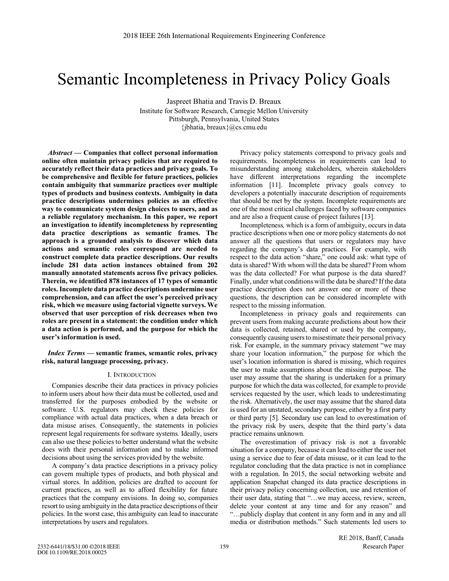# Semantic Incompleteness in Privacy Policy Goals

Jaspreet Bhatia and Travis D. Breaux Institute for Software Research, Carnegie Mellon University Pittsburgh, Pennsylvania, United States {jbhatia, breaux}@cs.cmu.edu

*Abstract* **— Companies that collect personal information online often maintain privacy policies that are required to accurately reflect their data practices and privacy goals. To be comprehensive and flexible for future practices, policies contain ambiguity that summarize practices over multiple types of products and business contexts. Ambiguity in data practice descriptions undermines policies as an effective way to communicate system design choices to users, and as a reliable regulatory mechanism. In this paper, we report an investigation to identify incompleteness by representing data practice descriptions as semantic frames. The approach is a grounded analysis to discover which data actions and semantic roles correspond are needed to construct complete data practice descriptions. Our results include 281 data action instances obtained from 202 manually annotated statements across five privacy policies. Therein, we identified 878 instances of 17 types of semantic roles. Incomplete data practice descriptions undermine user comprehension, and can affect the user's perceived privacy risk, which we measure using factorial vignette surveys. We observed that user perception of risk decreases when two roles are present in a statement: the condition under which a data action is performed, and the purpose for which the user's information is used.** 

*Index Terms* **— semantic frames, semantic roles, privacy risk, natural language processing, privacy.** 

# I. INTRODUCTION

Companies describe their data practices in privacy policies to inform users about how their data must be collected, used and transferred for the purposes embodied by the website or software. U.S. regulators may check these policies for compliance with actual data practices, when a data breach or data misuse arises. Consequently, the statements in policies represent legal requirements for software systems. Ideally, users can also use these policies to better understand what the website does with their personal information and to make informed decisions about using the services provided by the website.

A company's data practice descriptions in a privacy policy can govern multiple types of products, and both physical and virtual stores. In addition, policies are drafted to account for current practices, as well as to afford flexibility for future practices that the company envisions. In doing so, companies resort to using ambiguity in the data practice descriptions of their policies. In the worst case, this ambiguity can lead to inaccurate interpretations by users and regulators.

Privacy policy statements correspond to privacy goals and requirements. Incompleteness in requirements can lead to misunderstanding among stakeholders, wherein stakeholders have different interpretations regarding the incomplete information [11]. Incomplete privacy goals convey to developers a potentially inaccurate description of requirements that should be met by the system. Incomplete requirements are one of the most critical challenges faced by software companies and are also a frequent cause of project failures [13].

Incompleteness*,* which is a form of ambiguity, occurs in data practice descriptions when one or more policy statements do not answer all the questions that users or regulators may have regarding the company's data practices. For example, with respect to the data action "share," one could ask: what type of data is shared? With whom will the data be shared? From whom was the data collected? For what purpose is the data shared? Finally, under what conditions will the data be shared? If the data practice description does not answer one or more of these questions, the description can be considered incomplete with respect to the missing information.

Incompleteness in privacy goals and requirements can prevent users from making accurate predictions about how their data is collected, retained, shared or used by the company, consequently causing users to misestimate their personal privacy risk. For example, in the summary privacy statement "we may share your location information," the purpose for which the user's location information is shared is missing, which requires the user to make assumptions about the missing purpose. The user may assume that the sharing is undertaken for a primary purpose for which the data was collected, for example to provide services requested by the user, which leads to underestimating the risk. Alternatively, the user may assume that the shared data is used for an unstated, secondary purpose, either by a first party or third party [5]. Secondary use can lead to overestimation of the privacy risk by users, despite that the third party's data practice remains unknown.

The overestimation of privacy risk is not a favorable situation for a company, because it can lead to either the user not using a service due to fear of data misuse, or it can lead to the regulator concluding that the data practice is not in compliance with a regulation. In 2015, the social networking website and application Snapchat changed its data practice descriptions in their privacy policy concerning collection, use and retention of their user data, stating that "…we may access, review, screen, delete your content at any time and for any reason" and "…publicly display that content in any form and in any and all media or distribution methods." Such statements led users to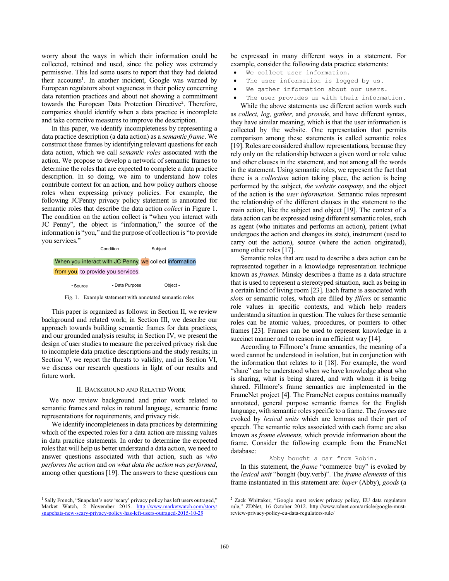worry about the ways in which their information could be collected, retained and used, since the policy was extremely permissive. This led some users to report that they had deleted their accounts<sup>1</sup>. In another incident, Google was warned by European regulators about vagueness in their policy concerning data retention practices and about not showing a commitment towards the European Data Protection Directive<sup>2</sup>. Therefore, companies should identify when a data practice is incomplete and take corrective measures to improve the description.

In this paper, we identify incompleteness by representing a data practice description (a data action) as a *semantic frame*. We construct these frames by identifying relevant questions for each data action, which we call *semantic roles* associated with the action. We propose to develop a network of semantic frames to determine the roles that are expected to complete a data practice description. In so doing, we aim to understand how roles contribute context for an action, and how policy authors choose roles when expressing privacy policies. For example, the following JCPenny privacy policy statement is annotated for semantic roles that describe the data action *collect* in Figure 1. The condition on the action collect is "when you interact with JC Penny", the object is "information," the source of the information is "you," and the purpose of collection is "to provide you services."



This paper is organized as follows: in Section II, we review background and related work; in Section III, we describe our approach towards building semantic frames for data practices, and our grounded analysis results; in Section IV, we present the design of user studies to measure the perceived privacy risk due to incomplete data practice descriptions and the study results; in Section V, we report the threats to validity, and in Section VI, we discuss our research questions in light of our results and future work.

## II. BACKGROUND AND RELATED WORK

We now review background and prior work related to semantic frames and roles in natural language, semantic frame representations for requirements, and privacy risk.

We identify incompleteness in data practices by determining which of the expected roles for a data action are missing values in data practice statements. In order to determine the expected roles that will help us better understand a data action, we need to answer questions associated with that action, such as *who performs the action* and *on what data the action was performed*, among other questions [19]. The answers to these questions can

 $\overline{a}$ 

be expressed in many different ways in a statement. For example, consider the following data practice statements:

- We collect user information.
- The user information is logged by us.
- We gather information about our users.
- The user provides us with their information.

While the above statements use different action words such as *collect, log, gather,* and *provide*, and have different syntax, they have similar meaning, which is that the user information is collected by the website. One representation that permits comparison among these statements is called semantic roles [19]. Roles are considered shallow representations, because they rely only on the relationship between a given word or role value and other clauses in the statement, and not among all the words in the statement. Using semantic roles, we represent the fact that there is a *collection* action taking place, the action is being performed by the subject, *the website company*, and the object of the action is the *user information*. Semantic roles represent the relationship of the different clauses in the statement to the main action, like the subject and object [19]. The context of a data action can be expressed using different semantic roles, such as agent (who initiates and performs an action), patient (what undergoes the action and changes its state), instrument (used to carry out the action), source (where the action originated), among other roles [17].

Semantic roles that are used to describe a data action can be represented together in a knowledge representation technique known as *frames*. Minsky describes a frame as a data structure that is used to represent a stereotyped situation, such as being in a certain kind of living room [23]. Each frame is associated with *slots* or semantic roles, which are filled by *fillers* or semantic role values in specific contexts, and which help readers understand a situation in question. The values for these semantic roles can be atomic values, procedures, or pointers to other frames [23]. Frames can be used to represent knowledge in a succinct manner and to reason in an efficient way [14].

According to Fillmore's frame semantics, the meaning of a word cannot be understood in isolation, but in conjunction with the information that relates to it [18]. For example, the word "share" can be understood when we have knowledge about who is sharing, what is being shared, and with whom it is being shared. Fillmore's frame semantics are implemented in the FrameNet project [4]. The FrameNet corpus contains manually annotated, general purpose semantic frames for the English language, with semantic roles specific to a frame. The *frames* are evoked by *lexical units* which are lemmas and their part of speech. The semantic roles associated with each frame are also known as *frame elements*, which provide information about the frame. Consider the following example from the FrameNet database:

# Abby bought a car from Robin.

In this statement, the *frame* "commerce\_buy" is evoked by the *lexical unit* "bought (buy.verb)". The *frame elements* of this frame instantiated in this statement are: *buyer* (Abby), *goods* (a

<sup>&</sup>lt;sup>1</sup> Sally French, "Snapchat's new 'scary' privacy policy has left users outraged," Market Watch, 2 November 2015. http://www.marketwatch.com/story/ snapchats-new-scary-privacy-policy-has-left-users-outraged-2015-10-29

<sup>&</sup>lt;sup>2</sup> Zack Whittaker, "Google must review privacy policy, EU data regulators rule," ZDNet, 16 October 2012. http://www.zdnet.com/article/google-mustreview-privacy-policy-eu-data-regulators-rule/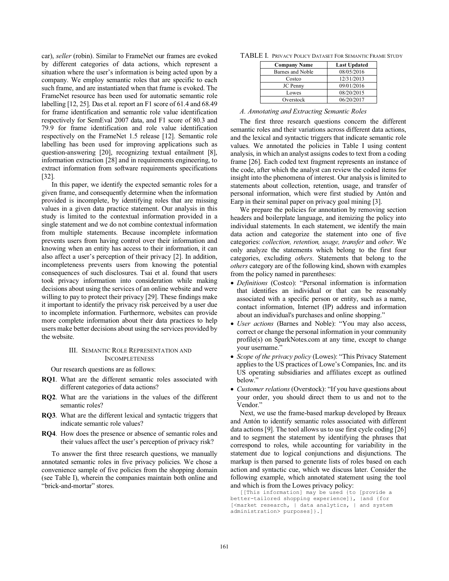car), *seller* (robin). Similar to FrameNet our frames are evoked by different categories of data actions, which represent a situation where the user's information is being acted upon by a company. We employ semantic roles that are specific to each such frame, and are instantiated when that frame is evoked. The FrameNet resource has been used for automatic semantic role labelling [12, 25]. Das et al. report an F1 score of 61.4 and 68.49 for frame identification and semantic role value identification respectively for SemEval 2007 data, and F1 score of 80.3 and 79.9 for frame identification and role value identification respectively on the FrameNet 1.5 release [12]. Semantic role labelling has been used for improving applications such as question-answering [20], recognizing textual entailment [8], information extraction [28] and in requirements engineering, to extract information from software requirements specifications [32].

In this paper, we identify the expected semantic roles for a given frame, and consequently determine when the information provided is incomplete, by identifying roles that are missing values in a given data practice statement. Our analysis in this study is limited to the contextual information provided in a single statement and we do not combine contextual information from multiple statements. Because incomplete information prevents users from having control over their information and knowing when an entity has access to their information, it can also affect a user's perception of their privacy [2]. In addition, incompleteness prevents users from knowing the potential consequences of such disclosures. Tsai et al. found that users took privacy information into consideration while making decisions about using the services of an online website and were willing to pay to protect their privacy [29]. These findings make it important to identify the privacy risk perceived by a user due to incomplete information. Furthermore, websites can provide more complete information about their data practices to help users make better decisions about using the services provided by the website.

# III. SEMANTIC ROLE REPRESENTATION AND **INCOMPLETENESS**

Our research questions are as follows:

- **RQ1**. What are the different semantic roles associated with different categories of data actions?
- **RQ2**. What are the variations in the values of the different semantic roles?
- **RQ3**. What are the different lexical and syntactic triggers that indicate semantic role values?
- **RQ4**. How does the presence or absence of semantic roles and their values affect the user's perception of privacy risk?

To answer the first three research questions, we manually annotated semantic roles in five privacy policies. We chose a convenience sample of five policies from the shopping domain (see Table I), wherein the companies maintain both online and "brick-and-mortar" stores.

TABLE I. PRIVACY POLICY DATASET FOR SEMANTIC FRAME STUDY

| <b>Company Name</b> | <b>Last Updated</b> |
|---------------------|---------------------|
| Barnes and Noble    | 08/05/2016          |
| Costco              | 12/31/2013          |
| <b>JC</b> Penny     | 09/01/2016          |
| Lowes               | 08/20/2015          |
| Overstock           | 06/20/2017          |

# *A. Annotating and Extracting Semantic Roles*

The first three research questions concern the different semantic roles and their variations across different data actions, and the lexical and syntactic triggers that indicate semantic role values. We annotated the policies in Table I using content analysis, in which an analyst assigns codes to text from a coding frame [26]. Each coded text fragment represents an instance of the code, after which the analyst can review the coded items for insight into the phenomena of interest. Our analysis is limited to statements about collection, retention, usage, and transfer of personal information, which were first studied by Antón and Earp in their seminal paper on privacy goal mining [3].

We prepare the policies for annotation by removing section headers and boilerplate language, and itemizing the policy into individual statements. In each statement, we identify the main data action and categorize the statement into one of five categories: *collection, retention, usage, transfer* and *other*. We only analyze the statements which belong to the first four categories, excluding *others*. Statements that belong to the *others* category are of the following kind, shown with examples from the policy named in parentheses:

- *Definitions* (Costco): "Personal information is information that identifies an individual or that can be reasonably associated with a specific person or entity, such as a name, contact information, Internet (IP) address and information about an individual's purchases and online shopping."
- *User actions* (Barnes and Noble): "You may also access, correct or change the personal information in your community profile(s) on SparkNotes.com at any time, except to change your username."
- *Scope of the privacy policy* (Lowes): "This Privacy Statement applies to the US practices of Lowe's Companies, Inc. and its US operating subsidiaries and affiliates except as outlined below."
- *Customer relations* (Overstock): "If you have questions about your order, you should direct them to us and not to the Vendor."

Next, we use the frame-based markup developed by Breaux and Antón to identify semantic roles associated with different data actions [9]. The tool allows us to use first cycle coding [26] and to segment the statement by identifying the phrases that correspond to roles, while accounting for variability in the statement due to logical conjunctions and disjunctions. The markup is then parsed to generate lists of roles based on each action and syntactic cue, which we discuss later. Consider the following example, which annotated statement using the tool and which is from the Lowes privacy policy:

[[This information] may be used {to [provide a better-tailored shopping experience]}, |and {for [<market research, | data analytics, | and system administration> purposes]}.]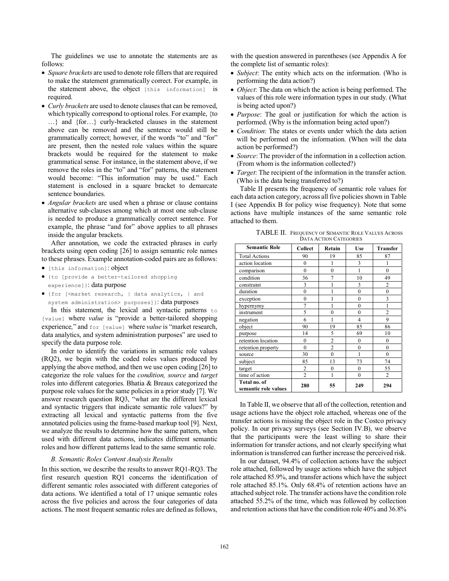The guidelines we use to annotate the statements are as follows:

- *Square brackets* are used to denote role fillers that are required to make the statement grammatically correct. For example, in the statement above, the object [this information] is required.
- *Curly brackets* are used to denote clauses that can be removed, which typically correspond to optional roles. For example, {to …} and {for…} curly-bracketed clauses in the statement above can be removed and the sentence would still be grammatically correct; however, if the words "to" and "for" are present, then the nested role values within the square brackets would be required for the statement to make grammatical sense. For instance, in the statement above, if we remove the roles in the "to" and "for" patterns, the statement would become: "This information may be used." Each statement is enclosed in a square bracket to demarcate sentence boundaries.
- *Angular brackets* are used when a phrase or clause contains alternative sub-clauses among which at most one sub-clause is needed to produce a grammatically correct sentence. For example, the phrase "and for" above applies to all phrases inside the angular brackets.

After annotation, we code the extracted phrases in curly brackets using open coding [26] to assign semantic role names to these phrases. Example annotation-coded pairs are as follows:

- [this information]: object
- {to [provide a better-tailored shopping experience]}: data purpose
- {for [<market research, | data analytics, | and system administration> purposes]}: data purposes

In this statement, the lexical and syntactic patterns to [value] where *value* is "provide a better-tailored shopping experience*,*" and for [value] where *value* is "market research, data analytics, and system administration purposes" are used to specify the data purpose role.

In order to identify the variations in semantic role values (RQ2), we begin with the coded roles values produced by applying the above method, and then we use open coding [26] to categorize the role values for the *condition, source* and *target* roles into different categories. Bhatia & Breaux categorized the purpose role values for the same policies in a prior study [7]. We answer research question RQ3, "what are the different lexical and syntactic triggers that indicate semantic role values?" by extracting all lexical and syntactic patterns from the five annotated policies using the frame-based markup tool [9]. Next, we analyze the results to determine how the same pattern, when used with different data actions, indicates different semantic roles and how different patterns lead to the same semantic role.

# *B. Semantic Roles Content Analysis Results*

In this section, we describe the results to answer RQ1-RQ3. The first research question RQ1 concerns the identification of different semantic roles associated with different categories of data actions. We identified a total of 17 unique semantic roles across the five policies and across the four categories of data actions. The most frequent semantic roles are defined as follows, with the question answered in parentheses (see Appendix A for the complete list of semantic roles):

- *Subject*: The entity which acts on the information. (Who is performing the data action?)
- *Object*: The data on which the action is being performed. The values of this role were information types in our study. (What is being acted upon?)
- *Purpose*: The goal or justification for which the action is performed. (Why is the information being acted upon?)
- *Condition*: The states or events under which the data action will be performed on the information. (When will the data action be performed?)
- *Source*: The provider of the information in a collection action. (From whom is the information collected?)
- *Target*: The recipient of the information in the transfer action. (Who is the data being transferred to?)

Table II presents the frequency of semantic role values for each data action category, across all five policies shown in Table I (see Appendix B for policy wise frequency). Note that some actions have multiple instances of the same semantic role attached to them.

TABLE II. FREQUENCY OF SEMANTIC ROLE VALUES ACROSS DATA ACTION CATEGORIES

| <b>Semantic Role</b>                 | Collect        | Retain         | Use            | <b>Transfer</b> |
|--------------------------------------|----------------|----------------|----------------|-----------------|
| <b>Total Actions</b>                 | 90             | 19             | 85             | 87              |
| action location                      | $\Omega$       | 1              | 3              | 1               |
| comparison                           | $\theta$       | $\theta$       | 1              | $\theta$        |
| condition                            | 36             | 7              | 10             | 49              |
| constraint                           | 3              |                | 3              | $\overline{2}$  |
| duration                             | $\theta$       |                | $\mathbf{0}$   | $\mathbf{0}$    |
| exception                            | $\theta$       |                | $\mathbf{0}$   | 3               |
| hypernymy                            | $\overline{7}$ |                | $\mathbf{0}$   | 1               |
| instrument                           | 5              | $\theta$       | $\theta$       | $\overline{2}$  |
| negation                             | 6              |                | $\overline{4}$ | 9               |
| object                               | 90             | 19             | 85             | 86              |
| purpose                              | 14             | 5              | 69             | 10              |
| retention location                   | $\theta$       | $\overline{2}$ | $\theta$       | $\theta$        |
| retention property                   | $\theta$       | $\overline{c}$ | $\theta$       | $\theta$        |
| source                               | 30             | $\theta$       | 1              | $\theta$        |
| subject                              | 85             | 13             | 73             | 74              |
| target                               | $\overline{c}$ | $\theta$       | $\theta$       | 55              |
| time of action                       | $\overline{2}$ | 1              | $\theta$       | $\overline{c}$  |
| Total no. of<br>semantic role values | 280            | 55             | 249            | 294             |

In Table II, we observe that all of the collection, retention and usage actions have the object role attached, whereas one of the transfer actions is missing the object role in the Costco privacy policy. In our privacy surveys (see Section IV.B), we observe that the participants were the least willing to share their information for transfer actions, and not clearly specifying what information is transferred can further increase the perceived risk.

In our dataset, 94.4% of collection actions have the subject role attached, followed by usage actions which have the subject role attached 85.9%, and transfer actions which have the subject role attached 85.1%. Only 68.4% of retention actions have an attached subject role. The transfer actions have the condition role attached 55.2% of the time, which was followed by collection and retention actions that have the condition role 40% and 36.8%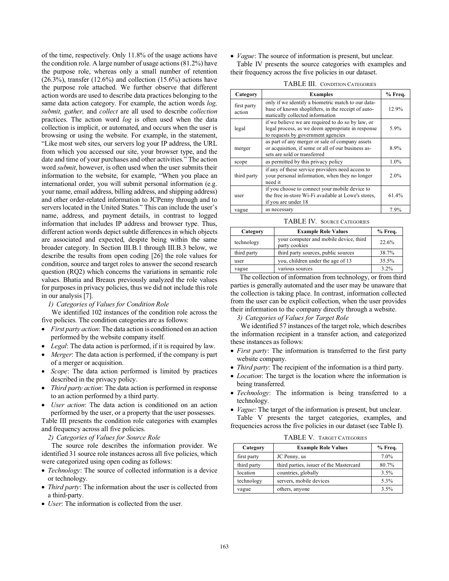of the time, respectively. Only 11.8% of the usage actions have the condition role. A large number of usage actions (81.2%) have the purpose role, whereas only a small number of retention  $(26.3\%)$ , transfer  $(12.6\%)$  and collection  $(15.6\%)$  actions have the purpose role attached. We further observe that different action words are used to describe data practices belonging to the same data action category. For example, the action words *log, submit, gather,* and *collect* are all used to describe *collection* practices. The action word *log* is often used when the data collection is implicit, or automated, and occurs when the user is browsing or using the website. For example, in the statement, "Like most web sites, our servers log your IP address, the URL from which you accessed our site, your browser type, and the date and time of your purchases and other activities." The action word *submit*, however, is often used when the user submits their information to the website, for example, "When you place an international order, you will submit personal information (e.g. your name, email address, billing address, and shipping address) and other order-related information to JCPenny through and to servers located in the United States." This can include the user's name, address, and payment details, in contrast to logged information that includes IP address and browser type. Thus, different action words depict subtle differences in which objects are associated and expected, despite being within the same broader category. In Section III.B.1 through III.B.3 below, we describe the results from open coding [26] the role values for condition, source and target roles to answer the second research question (RQ2) which concerns the variations in semantic role values. Bhatia and Breaux previously analyzed the role values for purposes in privacy policies, thus we did not include this role in our analysis [7].

*1) Categories of Values for Condition Role* 

We identified 102 instances of the condition role across the five policies. The condition categories are as follows:

- *First party action*: The data action is conditioned on an action performed by the website company itself.
- *Legal*: The data action is performed, if it is required by law.
- *Merger*: The data action is performed, if the company is part of a merger or acquisition.
- *Scope*: The data action performed is limited by practices described in the privacy policy.
- *Third party action*: The data action is performed in response to an action performed by a third party.
- *User action*: The data action is conditioned on an action performed by the user, or a property that the user possesses.

Table III presents the condition role categories with examples and frequency across all five policies.

*2) Categories of Values for Source Role* 

The source role describes the information provider. We identified 31 source role instances across all five policies, which were categorized using open coding as follows:

- *Technology*: The source of collected information is a device or technology.
- *Third party*: The information about the user is collected from a third-party.
- *User*: The information is collected from the user.

• *Vague*: The source of information is present, but unclear.

Table IV presents the source categories with examples and their frequency across the five policies in our dataset.

|  | <b>TABLE III. CONDITION CATEGORIES</b> |
|--|----------------------------------------|
|--|----------------------------------------|

| н носы нь совонов санзовые |                                                                                                                                              |         |  |
|----------------------------|----------------------------------------------------------------------------------------------------------------------------------------------|---------|--|
| Category                   | <b>Examples</b>                                                                                                                              | % Freq. |  |
| first party<br>action      | only if we identify a biometric match to our data-<br>base of known shoplifters, in the receipt of auto-<br>matically collected information  | 12.9%   |  |
| legal                      | if we believe we are required to do so by law, or<br>legal process, as we deem appropriate in response<br>to requests by government agencies | 5.9%    |  |
| merger                     | as part of any merger or sale of company assets<br>or acquisition, if some or all of our business as-<br>sets are sold or transferred        | 8.9%    |  |
| scope                      | as permitted by this privacy policy                                                                                                          | $1.0\%$ |  |
| third party                | if any of these service providers need access to<br>your personal information, when they no longer<br>need it                                | $2.0\%$ |  |
| user                       | if you choose to connect your mobile device to<br>the free in-store Wi-Fi available at Lowe's stores,<br>if you are under 18                 | 61.4%   |  |
| vague                      | as necessary                                                                                                                                 | 7.9%    |  |

TABLE IV. SOURCE CATEGORIES

| Category    | <b>Example Role Values</b>                              | $%$ Freq. |
|-------------|---------------------------------------------------------|-----------|
| technology  | your computer and mobile device, third<br>party cookies | 22.6%     |
| third party | third party sources, public sources                     | 38.7%     |
| user        | you, children under the age of 13                       | 35.5%     |
| vague       | various sources                                         | $3.2\%$   |

The collection of information from technology, or from third parties is generally automated and the user may be unaware that the collection is taking place. In contrast, information collected from the user can be explicit collection, when the user provides their information to the company directly through a website.

*3) Categories of Values for Target Role* 

We identified 57 instances of the target role, which describes the information recipient in a transfer action, and categorized these instances as follows:

- *First party*: The information is transferred to the first party website company.
- *Third party*: The recipient of the information is a third party.
- *Location*: The target is the location where the information is being transferred.
- *Technology*: The information is being transferred to a technology.

• *Vague*: The target of the information is present, but unclear. Table V presents the target categories, examples, and

frequencies across the five policies in our dataset (see Table I).

TABLE V. TARGET CATEGORIES

| Category    | <b>Example Role Values</b>              | $%$ Freq. |
|-------------|-----------------------------------------|-----------|
| first party | JC Penny, us                            | $7.0\%$   |
| third party | third parties, issuer of the Mastercard | 80.7%     |
| location    | countries, globally                     | 3.5%      |
| technology  | servers, mobile devices                 | 5.3%      |
| vague       | others, anyone                          | $3.5\%$   |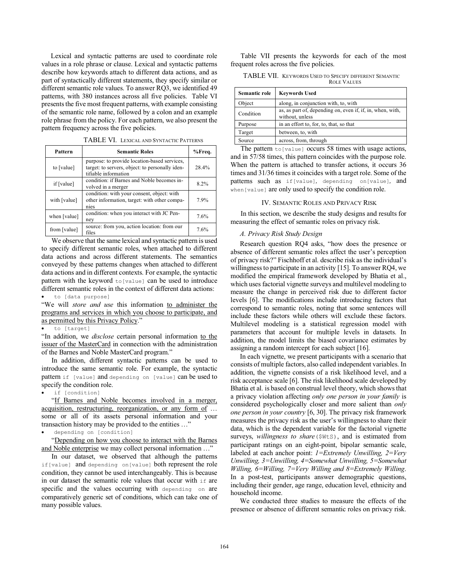Lexical and syntactic patterns are used to coordinate role values in a role phrase or clause. Lexical and syntactic patterns describe how keywords attach to different data actions, and as part of syntactically different statements, they specify similar or different semantic role values. To answer RQ3, we identified 49 patterns, with 380 instances across all five policies. Table VI presents the five most frequent patterns, with example consisting of the semantic role name, followed by a colon and an example role phrase from the policy. For each pattern, we also present the pattern frequency across the five policies.

| Pattern      | <b>Semantic Roles</b>                                                                                                   | %Freq. |
|--------------|-------------------------------------------------------------------------------------------------------------------------|--------|
| to [value]   | purpose: to provide location-based services,<br>target: to servers, object: to personally iden-<br>tifiable information | 28.4%  |
| if [value]   | condition: if Barnes and Noble becomes in-<br>volved in a merger                                                        | 8.2%   |
| with [value] | condition: with your consent, object: with<br>other information, target: with other compa-<br>nies                      | 7.9%   |
| when [value] | condition: when you interact with JC Pen-<br>ney                                                                        | 7.6%   |
| from [value] | source: from you, action location: from our<br>files                                                                    | 7.6%   |

TABLE VI. LEXICAL AND SYNTACTIC PATTERNS

We observe that the same lexical and syntactic pattern is used to specify different semantic roles, when attached to different data actions and across different statements. The semantics conveyed by these patterns changes when attached to different data actions and in different contexts. For example, the syntactic pattern with the keyword  $\text{to}[\text{value}]$  can be used to introduce different semantic roles in the context of different data actions: • to [data purpose]

"We will *store and use* this information to administer the programs and services in which you choose to participate, and as permitted by this Privacy Policy."

to [target]

"In addition, we *disclose* certain personal information to the issuer of the MasterCard in connection with the administration of the Barnes and Noble MasterCard program."

In addition, different syntactic patterns can be used to introduce the same semantic role. For example, the syntactic pattern if [value] and depending on [value] can be used to specify the condition role.

if [condition]

"If Barnes and Noble becomes involved in a merger, acquisition, restructuring, reorganization, or any form of … some or all of its assets personal information and your transaction history may be provided to the entities …"

depending on [condition]

"Depending on how you choose to interact with the Barnes and Noble enterprise we may collect personal information …"

In our dataset, we observed that although the patterns if[value] and depending on[value] both represent the role condition, they cannot be used interchangeably. This is because in our dataset the semantic role values that occur with  $if$  are specific and the values occurring with depending on are comparatively generic set of conditions, which can take one of many possible values.

Table VII presents the keywords for each of the most frequent roles across the five policies.

| TABLE VII. KEYWORDS USED TO SPECIFY DIFFERENT SEMANTIC |
|--------------------------------------------------------|
| <b>ROLE VALUES</b>                                     |

| Semantic role | <b>Keywords Used</b>                                                          |
|---------------|-------------------------------------------------------------------------------|
| Object        | along, in conjunction with, to, with                                          |
| Condition     | as, as part of, depending on, even if, if, in, when, with,<br>without, unless |
| Purpose       | in an effort to, for, to, that, so that                                       |
| Target        | between, to, with                                                             |
| Source        | across, from, through                                                         |

The pattern  $to$ [value] occurs 58 times with usage actions, and in 57/58 times, this pattern coincides with the purpose role. When the pattern is attached to transfer actions, it occurs 36 times and 31/36 times it coincides with a target role. Some of the patterns such as if[value]*,* depending on[value]*,* and when [value] are only used to specify the condition role.

## IV. SEMANTIC ROLES AND PRIVACY RISK

In this section, we describe the study designs and results for measuring the effect of semantic roles on privacy risk.

# *A. Privacy Risk Study Design*

Research question RQ4 asks, "how does the presence or absence of different semantic roles affect the user's perception of privacy risk?" Fischhoff et al. describe risk as the individual's willingness to participate in an activity [15]. To answer RQ4, we modified the empirical framework developed by Bhatia et al., which uses factorial vignette surveys and multilevel modeling to measure the change in perceived risk due to different factor levels [6]. The modifications include introducing factors that correspond to semantic roles, noting that some sentences will include these factors while others will exclude these factors. Multilevel modeling is a statistical regression model with parameters that account for multiple levels in datasets. In addition, the model limits the biased covariance estimates by assigning a random intercept for each subject [16].

In each vignette, we present participants with a scenario that consists of multiple factors, also called independent variables. In addition, the vignette consists of a risk likelihood level, and a risk acceptance scale [6]. The risk likelihood scale developed by Bhatia et al. is based on construal level theory, which shows that a privacy violation affecting *only one person in your family* is considered psychologically closer and more salient than *only one person in your country* [6, 30]. The privacy risk framework measures the privacy risk as the user's willingness to share their data, which is the dependent variable for the factorial vignette surveys, *willingness to share*(\$WtS), and is estimated from participant ratings on an eight-point, bipolar semantic scale, labeled at each anchor point: *1=Extremely Unwilling, 2=Very Unwilling, 3=Unwilling, 4=Somewhat Unwilling, 5=Somewhat Willing, 6=Willing, 7=Very Willing and 8=Extremely Willing*. In a post-test, participants answer demographic questions, including their gender, age range, education level, ethnicity and household income.

We conducted three studies to measure the effects of the presence or absence of different semantic roles on privacy risk.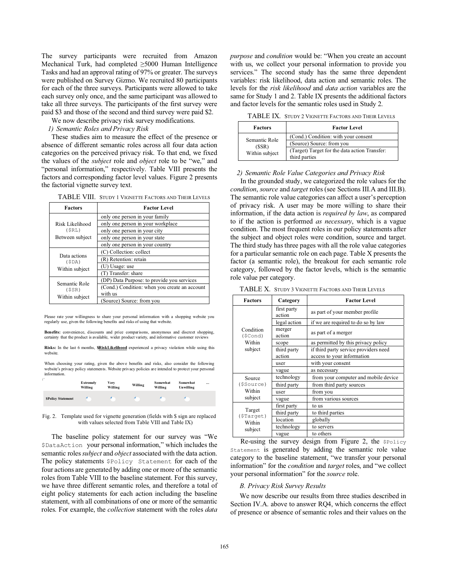The survey participants were recruited from Amazon Mechanical Turk, had completed ≥5000 Human Intelligence Tasks and had an approval rating of 97% or greater. The surveys were published on Survey Gizmo. We recruited 80 participants for each of the three surveys. Participants were allowed to take each survey only once, and the same participant was allowed to take all three surveys. The participants of the first survey were paid \$3 and those of the second and third survey were paid \$2.

We now describe privacy risk survey modifications.

*1) Semantic Roles and Privacy Risk* 

These studies aim to measure the effect of the presence or absence of different semantic roles across all four data action categories on the perceived privacy risk. To that end, we fixed the values of the *subject* role and *object* role to be "we," and "personal information," respectively. Table VIII presents the factors and corresponding factor level values. Figure 2 presents the factorial vignette survey text.

| Factors                                 | <b>Factor Level</b>                           |
|-----------------------------------------|-----------------------------------------------|
|                                         | only one person in your family                |
| Risk Likelihood                         | only one person in your workplace             |
| (SRL)                                   | only one person in your city                  |
| Between subject                         | only one person in your state                 |
|                                         | only one person in your country               |
| Data actions<br>(SDA)<br>Within subject | (C) Collection: collect                       |
|                                         | (R) Retention: retain                         |
|                                         | (U) Usage: use                                |
|                                         | (T) Transfer: share                           |
|                                         | (DP) Data Purpose: to provide you services    |
| Semantic Role<br>(SSR)                  | (Cond.) Condition: when you create an account |
| Within subject                          | with us                                       |
|                                         | (Source) Source: from you                     |

Please rate your willingness to share your personal information with a shopping website you regularly use, given the following benefits and risks of using that website.

**Benefits:** convenience, discounts and price comparisons, anonymous and discreet shopping, certainty that the product is available, wider product variety, and informative customer reviews

**Risks:** In the last 6 months, **\$RiskLikelihood** experienced a privacy violation while using this website.

When choosing your rating, given the above benefits and risks, also consider the following website's privacy policy statements. Website privacy policies are intended to protect your personal informati

| ,,,                      | <b>Extremely</b><br>Willing | Verv<br>Willing | Willing | Somewhat<br>Willing | Somewhat<br>Unwilling | $\cdots$ |
|--------------------------|-----------------------------|-----------------|---------|---------------------|-----------------------|----------|
| <b>SPolicy Statement</b> |                             |                 |         |                     |                       |          |

Fig. 2. Template used for vignette generation (fields with \$ sign are replaced with values selected from Table VIII and Table IX)

The baseline policy statement for our survey was "We \$DataAction your personal information," which includes the semantic roles *subject* and *object* associated with the data action. The policy statements \$Policy Statement for each of the four actions are generated by adding one or more of the semantic roles from Table VIII to the baseline statement. For this survey, we have three different semantic roles, and therefore a total of eight policy statements for each action including the baseline statement, with all combinations of one or more of the semantic roles. For example, the *collection* statement with the roles *data*  *purpose* and *condition* would be: "When you create an account with us, we collect your personal information to provide you services." The second study has the same three dependent variables: risk likelihood, data action and semantic roles. The levels for the *risk likelihood* and *data action* variables are the same for Study 1 and 2. Table IX presents the additional factors and factor levels for the semantic roles used in Study 2.

TABLE IX. STUDY 2 VIGNETTE FACTORS AND THEIR LEVELS

| <b>Factors</b>          | <b>Factor Level</b>                                               |
|-------------------------|-------------------------------------------------------------------|
| Semantic Role           | (Cond.) Condition: with your consent<br>(Source) Source: from you |
| (SSR)<br>Within subject | (Target) Target for the data action Transfer:<br>third parties    |

#### *2) Semantic Role Value Categories and Privacy Risk*

In the grounded study, we categorized the role values for the *condition*, *source* and *target* roles (see Sections III.A and III.B). The semantic role value categories can affect a user's perception of privacy risk. A user may be more willing to share their information, if the data action is *required by law*, as compared to if the action is performed *as necessary*, which is a vague condition. The most frequent roles in our policy statements after the subject and object roles were condition, source and target. The third study has three pages with all the role value categories for a particular semantic role on each page. Table X presents the factor (a semantic role), the breakout for each semantic role category, followed by the factor levels, which is the semantic role value per category.

TABLE X. STUDY 3 VIGNETTE FACTORS AND THEIR LEVELS

| <b>Factors</b>        | Category              | <b>Factor Level</b>                   |  |  |  |  |
|-----------------------|-----------------------|---------------------------------------|--|--|--|--|
|                       | first party<br>action | as part of your member profile        |  |  |  |  |
|                       | legal action          | if we are required to do so by law    |  |  |  |  |
| Condition<br>(\$Cond) | merger<br>action      | as part of a merger                   |  |  |  |  |
| Within                | scope                 | as permitted by this privacy policy   |  |  |  |  |
| subject               | third party           | if third party service providers need |  |  |  |  |
|                       | action                | access to your information            |  |  |  |  |
|                       | user                  | with your consent                     |  |  |  |  |
|                       | as necessary<br>vague |                                       |  |  |  |  |
| Source                | technology            | from your computer and mobile device  |  |  |  |  |
| (\$Source)            | third party           | from third party sources              |  |  |  |  |
| Within                | user                  | from you                              |  |  |  |  |
| subject               | vague                 | from various sources                  |  |  |  |  |
|                       | first party           | to us                                 |  |  |  |  |
| Target<br>(\$Target)  | third party           | to third parties                      |  |  |  |  |
| Within                | location              | globally                              |  |  |  |  |
| subject               | technology            | to servers                            |  |  |  |  |
|                       | vague                 | to others                             |  |  |  |  |

Re-using the survey design from Figure 2, the  $$Policy$ Statement is generated by adding the semantic role value category to the baseline statement, "we transfer your personal information" for the *condition* and *target* roles, and "we collect your personal information" for the *source* role.

## *B. Privacy Risk Survey Results*

We now describe our results from three studies described in Section IV.A. above to answer RQ4, which concerns the effect of presence or absence of semantic roles and their values on the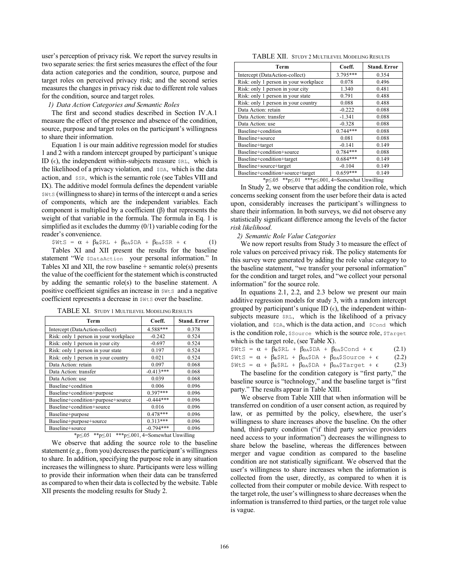user's perception of privacy risk. We report the survey results in two separate series: the first series measures the effect of the four data action categories and the condition, source, purpose and target roles on perceived privacy risk; and the second series measures the changes in privacy risk due to different role values for the condition, source and target roles.

*1) Data Action Categories and Semantic Roles* 

The first and second studies described in Section IV.A.1 measure the effect of the presence and absence of the condition, source, purpose and target roles on the participant's willingness to share their information.

Equation 1 is our main additive regression model for studies 1 and 2 with a random intercept grouped by participant's unique ID  $(\epsilon)$ , the independent within-subjects measure  $\epsilon_{\text{RL}}$ , which is the likelihood of a privacy violation, and \$DA, which is the data action, and \$SR, which is the semantic role (see Tables VIII and IX). The additive model formula defines the dependent variable  $$Wts$  (willingness to share) in terms of the intercept  $\alpha$  and a series of components, which are the independent variables. Each component is multiplied by a coefficient (β) that represents the weight of that variable in the formula. The formula in Eq. 1 is simplified as it excludes the dummy (0/1) variable coding for the reader's convenience.

$$
$WLS = \alpha + \beta_R$RL + \beta_{DA}$DAA + \beta_{DA}$SR + \varepsilon
$$
 (1)

Tables XI and XII present the results for the baseline statement "We \$DataAction your personal information." In Tables XI and XII, the row baseline  $+$  semantic role(s) presents the value of the coefficient for the statement which is constructed by adding the semantic role(s) to the baseline statement. A positive coefficient signifies an increase in \$WtS and a negative coefficient represents a decrease in  $\frac{1}{2}$  wts over the baseline.

| Term                                  | Coeff.                               | <b>Stand. Error</b> |
|---------------------------------------|--------------------------------------|---------------------|
| Intercept (DataAction-collect)        | 4.588***                             | 0.378               |
| Risk: only 1 person in your workplace | $-0.242$                             | 0.524               |
| Risk: only 1 person in your city      | $-0.697$                             | 0.524               |
| Risk: only 1 person in your state     | 0.197                                | 0.524               |
| Risk: only 1 person in your country   | 0.021                                | 0.524               |
| Data Action: retain                   | 0.097                                | 0.068               |
| Data Action: transfer                 | $-0.413***$                          | 0.068               |
| Data Action: use                      | 0.039                                | 0.068               |
| Baseline+condition                    | 0.006                                | 0.096               |
| Baseline+condition+purpose            | $0.397***$                           | 0.096               |
| Baseline+condition+purpose+source     | $-0.444***$                          | 0.096               |
| Baseline+condition+source             | 0.016                                | 0.096               |
| Baseline+purpose                      | $0.478***$                           | 0.096               |
| Baseline+purpose+source               | $0.313***$                           | 0.096               |
| Baseline+source                       | $-0.794***$                          | 0.096               |
| *n $\sim$ 05 **n $\sim$ 01            | $***\sim 001$ $A-Comovhot$ Unwilling |                     |

TABLE XI. STUDY 1 MULTILEVEL MODELING RESULTS

\*p≤.05 \*\*p≤.01 \*\*\*p≤.001, 4=Somewhat Unwilling

We observe that adding the source role to the baseline statement (e.g., from you) decreases the participant's willingness to share. In addition, specifying the purpose role in any situation increases the willingness to share. Participants were less willing to provide their information when their data can be transferred as compared to when their data is collected by the website. Table XII presents the modeling results for Study 2.

TABLE XII. STUDY 2 MULTILEVEL MODELING RESULTS

| Term                                  | Coeff.     | <b>Stand. Error</b> |
|---------------------------------------|------------|---------------------|
| Intercept (DataAction-collect)        | $3.795***$ | 0.354               |
| Risk: only 1 person in your workplace | 0.078      | 0.496               |
| Risk: only 1 person in your city      | 1.340      | 0.481               |
| Risk: only 1 person in your state     | 0.791      | 0.488               |
| Risk: only 1 person in your country   | 0.088      | 0.488               |
| Data Action: retain                   | $-0.222$   | 0.088               |
| Data Action: transfer                 | $-1.341$   | 0.088               |
| Data Action: use                      | $-0.328$   | 0.088               |
| Baseline+condition                    | $0.744***$ | 0.088               |
| Baseline+source                       | 0.081      | 0.088               |
| Baseline+target                       | $-0.141$   | 0.149               |
| Baseline+condition+source             | $0.784***$ | 0.088               |
| Baseline+condition+target             | $0.684***$ | 0.149               |
| Baseline+source+target                | $-0.104$   | 0.149               |
| Baseline+condition+source+target      | $0.659***$ | 0.149               |

\*p≤.05 \*\*p≤.01 \*\*\*p≤.001, 4=Somewhat Unwilling

In Study 2, we observe that adding the condition role, which concerns seeking consent from the user before their data is acted upon, considerably increases the participant's willingness to share their information. In both surveys, we did not observe any statistically significant difference among the levels of the factor *risk likelihood*.

*2) Semantic Role Value Categories* 

We now report results from Study 3 to measure the effect of role values on perceived privacy risk. The policy statements for this survey were generated by adding the role value category to the baseline statement, "we transfer your personal information" for the condition and target roles, and "we collect your personal information" for the source role.

In equations 2.1, 2.2, and 2.3 below we present our main additive regression models for study 3, with a random intercept grouped by participant's unique ID  $(\epsilon)$ , the independent withinsubjects measure  $$RL$ , which is the likelihood of a privacy violation, and \$DA, which is the data action, and \$Cond which is the condition role, \$Source which is the source role, \$Target which is the target role, (see Table X).

|  |  |  |  | $\frac{1}{2}WtS = \alpha + \beta_R \frac{1}{2}RL + \beta_{DA} \frac{1}{2}DA + \beta_{DA} \frac{1}{2}Cond + \epsilon$ | (2.1) |
|--|--|--|--|----------------------------------------------------------------------------------------------------------------------|-------|
|  |  |  |  | $\frac{1}{2}WtS = \alpha + \beta_R$ \$RL + $\beta_{DA}$ \$DA + $\beta_{DA}$ \$Source + $\epsilon$                    | (2.2) |
|  |  |  |  | $\frac{1}{2}WtS = \alpha + \beta_R$ \$RL + $\beta_{DA}$ \$DA + $\beta_{DA}$ \$Target + $\epsilon$                    | (2.3) |
|  |  |  |  |                                                                                                                      |       |

The baseline for the condition category is "first party," the baseline source is "technology," and the baseline target is "first party." The results appear in Table XIII.

We observe from Table XIII that when information will be transferred on condition of a user consent action, as required by law, or as permitted by the policy, elsewhere, the user's willingness to share increases above the baseline. On the other hand, third-party condition ("if third party service providers need access to your information") decreases the willingness to share below the baseline, whereas the differences between merger and vague condition as compared to the baseline condition are not statistically significant. We observed that the user's willingness to share increases when the information is collected from the user, directly, as compared to when it is collected from their computer or mobile device. With respect to the target role, the user's willingness to share decreases when the information is transferred to third parties, or the target role value is vague.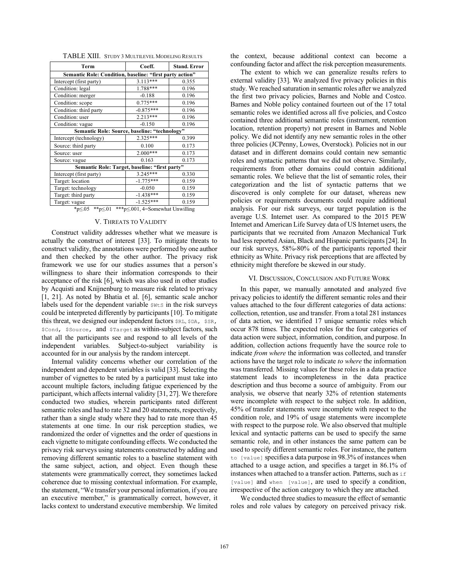| Term                                                      | Coeff.                                                                                               | <b>Stand. Error</b>   |  |  |  |  |
|-----------------------------------------------------------|------------------------------------------------------------------------------------------------------|-----------------------|--|--|--|--|
| Semantic Role: Condition, baseline: "first party action"  |                                                                                                      |                       |  |  |  |  |
| Intercept (first party)                                   | $3.113***$                                                                                           | 0.355                 |  |  |  |  |
| Condition: legal                                          | 1.788***                                                                                             | 0.196                 |  |  |  |  |
| Condition: merger                                         | $-0.188$                                                                                             | 0.196                 |  |  |  |  |
| Condition: scope                                          | $0.775***$                                                                                           | 0.196                 |  |  |  |  |
| Condition: third party                                    | $-0.875***$                                                                                          | 0.196                 |  |  |  |  |
| Condition: user                                           | $2.213***$                                                                                           | 0.196                 |  |  |  |  |
| Condition: vague                                          | $-0.150$                                                                                             | 0.196                 |  |  |  |  |
| Semantic Role: Source, baseline: "technology"             |                                                                                                      |                       |  |  |  |  |
| Intercept (technology)                                    | $2.325***$                                                                                           | 0.399                 |  |  |  |  |
| Source: third party                                       | 0.100                                                                                                | 0.173                 |  |  |  |  |
| Source: user                                              | $2.000***$                                                                                           | 0.173                 |  |  |  |  |
| Source: vague                                             | 0.163                                                                                                | 0.173                 |  |  |  |  |
| Semantic Role: Target, baseline: "first party"            |                                                                                                      |                       |  |  |  |  |
| Intercept (first party)                                   | $3.245***$                                                                                           | 0.330                 |  |  |  |  |
| Target: location                                          | $-1.775***$                                                                                          | 0.159                 |  |  |  |  |
| Target: technology                                        | $-0.050$                                                                                             | 0.159                 |  |  |  |  |
| Target: third party                                       | $-1.438***$                                                                                          | 0.159                 |  |  |  |  |
| Target: vague<br>$44 - 01$<br>$\sim$ $\sim$ $\sim$ $\sim$ | $-1.525***$<br>$\phi$ $\phi$ $\phi$ $\rightarrow$ $\Delta$ $\Delta$ $\uparrow$ $\uparrow$ $\uparrow$ | 0.159<br>1.11<br>.11. |  |  |  |  |

\*p≤.05 \*\*p≤.01 \*\*\*p≤.001, 4=Somewhat Unwilling

## V. THREATS TO VALIDITY

Construct validity addresses whether what we measure is actually the construct of interest [33]. To mitigate threats to construct validity, the annotations were performed by one author and then checked by the other author. The privacy risk framework we use for our studies assumes that a person's willingness to share their information corresponds to their acceptance of the risk [6], which was also used in other studies by Acquisti and Knijnenburg to measure risk related to privacy [1, 21]. As noted by Bhatia et al. [6], semantic scale anchor labels used for the dependent variable  $swts$  in the risk surveys could be interpreted differently by participants [10]. To mitigate this threat, we designed our independent factors \$RL, \$DA, \$SR, \$Cond, \$Source, and \$Target as within-subject factors, such that all the participants see and respond to all levels of the independent variables. Subject-to-subject variability is accounted for in our analysis by the random intercept.

Internal validity concerns whether our correlation of the independent and dependent variables is valid [33]. Selecting the number of vignettes to be rated by a participant must take into account multiple factors, including fatigue experienced by the participant, which affects internal validity [31, 27]. We therefore conducted two studies, wherein participants rated different semantic roles and had to rate 32 and 20 statements, respectively, rather than a single study where they had to rate more than 45 statements at one time. In our risk perception studies, we randomized the order of vignettes and the order of questions in each vignette to mitigate confounding effects. We conducted the privacy risk surveys using statements constructed by adding and removing different semantic roles to a baseline statement with the same subject, action, and object. Even though these statements were grammatically correct, they sometimes lacked coherence due to missing contextual information. For example, the statement, "We transfer your personal information, if you are an executive member," is grammatically correct, however, it lacks context to understand executive membership. We limited the context, because additional context can become a confounding factor and affect the risk perception measurements.

The extent to which we can generalize results refers to external validity [33]. We analyzed five privacy policies in this study. We reached saturation in semantic roles after we analyzed the first two privacy policies, Barnes and Noble and Costco. Barnes and Noble policy contained fourteen out of the 17 total semantic roles we identified across all five policies, and Costco contained three additional semantic roles (instrument, retention location, retention property) not present in Barnes and Noble policy. We did not identify any new semantic roles in the other three policies (JCPenny, Lowes, Overstock). Policies not in our dataset and in different domains could contain new semantic roles and syntactic patterns that we did not observe. Similarly, requirements from other domains could contain additional semantic roles. We believe that the list of semantic roles, their categorization and the list of syntactic patterns that we discovered is only complete for our dataset, whereas new policies or requirements documents could require additional analysis. For our risk surveys, our target population is the average U.S. Internet user. As compared to the 2015 PEW Internet and American Life Survey data of US Internet users, the participants that we recruited from Amazon Mechanical Turk had less reported Asian, Black and Hispanic participants [24]. In our risk surveys, 58%-80% of the participants reported their ethnicity as White. Privacy risk perceptions that are affected by ethnicity might therefore be skewed in our study.

# VI. DISCUSSION, CONCLUSION AND FUTURE WORK

In this paper, we manually annotated and analyzed five privacy policies to identify the different semantic roles and their values attached to the four different categories of data actions: collection, retention, use and transfer. From a total 281 instances of data action, we identified 17 unique semantic roles which occur 878 times. The expected roles for the four categories of data action were subject, information, condition, and purpose. In addition, collection actions frequently have the source role to indicate *from where* the information was collected, and transfer actions have the target role to indicate *to where* the information was transferred. Missing values for these roles in a data practice statement leads to incompleteness in the data practice description and thus become a source of ambiguity. From our analysis, we observe that nearly 32% of retention statements were incomplete with respect to the subject role. In addition, 45% of transfer statements were incomplete with respect to the condition role, and 19% of usage statements were incomplete with respect to the purpose role. We also observed that multiple lexical and syntactic patterns can be used to specify the same semantic role, and in other instances the same pattern can be used to specify different semantic roles. For instance, the pattern to [value] specifies a data purpose in 98.3% of instances when attached to a usage action, and specifies a target in 86.1% of instances when attached to a transfer action. Patterns, such as if [value] and when [value], are used to specify a condition, irrespective of the action category to which they are attached.

We conducted three studies to measure the effect of semantic roles and role values by category on perceived privacy risk.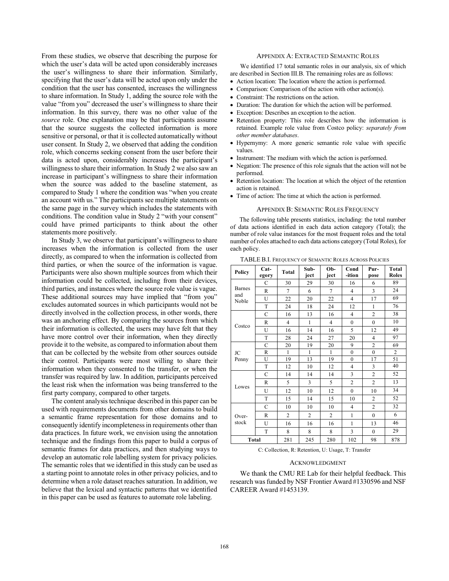From these studies, we observe that describing the purpose for which the user's data will be acted upon considerably increases the user's willingness to share their information. Similarly, specifying that the user's data will be acted upon only under the condition that the user has consented, increases the willingness to share information. In Study 1, adding the source role with the value "from you" decreased the user's willingness to share their information. In this survey, there was no other value of the *source* role. One explanation may be that participants assume that the source suggests the collected information is more sensitive or personal, or that it is collected automatically without user consent. In Study 2, we observed that adding the condition role, which concerns seeking consent from the user before their data is acted upon, considerably increases the participant's willingness to share their information. In Study 2 we also saw an increase in participant's willingness to share their information when the source was added to the baseline statement, as compared to Study 1 where the condition was "when you create an account with us." The participants see multiple statements on the same page in the survey which includes the statements with conditions. The condition value in Study 2 "with your consent" could have primed participants to think about the other statements more positively.

In Study 3, we observe that participant's willingness to share increases when the information is collected from the user directly, as compared to when the information is collected from third parties, or when the source of the information is vague. Participants were also shown multiple sources from which their information could be collected, including from their devices, third parties, and instances where the source role value is vague. These additional sources may have implied that "from you" excludes automated sources in which participants would not be directly involved in the collection process, in other words, there was an anchoring effect. By comparing the sources from which their information is collected, the users may have felt that they have more control over their information, when they directly provide it to the website, as compared to information about them that can be collected by the website from other sources outside their control. Participants were most willing to share their information when they consented to the transfer, or when the transfer was required by law. In addition, participants perceived the least risk when the information was being transferred to the first party company, compared to other targets.

The content analysis technique described in this paper can be used with requirements documents from other domains to build a semantic frame representation for those domains and to consequently identify incompleteness in requirements other than data practices. In future work, we envision using the annotation technique and the findings from this paper to build a corpus of semantic frames for data practices, and then studying ways to develop an automatic role labelling system for privacy policies. The semantic roles that we identified in this study can be used as a starting point to annotate roles in other privacy policies, and to determine when a role dataset reaches saturation. In addition, we believe that the lexical and syntactic patterns that we identified in this paper can be used as features to automate role labeling.

# APPENDIX A: EXTRACTED SEMANTIC ROLES

We identified 17 total semantic roles in our analysis, six of which are described in Section III.B. The remaining roles are as follows:

- Action location: The location where the action is performed.
- Comparison: Comparison of the action with other action(s).
- Constraint: The restrictions on the action.
- Duration: The duration for which the action will be performed.
- Exception: Describes an exception to the action.
- Retention property: This role describes how the information is retained. Example role value from Costco policy: *separately from other member databases*.
- Hypernymy: A more generic semantic role value with specific values.
- Instrument: The medium with which the action is performed.
- Negation: The presence of this role signals that the action will not be performed.
- Retention location: The location at which the object of the retention action is retained.
- Time of action: The time at which the action is performed.

## APPENDIX B: SEMANTIC ROLES FREQUENCY

The following table presents statistics, including: the total number of data actions identified in each data action category (Total); the number of role value instances for the most frequent roles and the total number of roles attached to each data actions category (Total Roles), for each policy.

| Policy        | $Cat-$<br>egory | <b>Total</b>   | Sub-<br>ject   | Ob-<br>ject    | Cond<br>-ition | Pur-<br>pose   | <b>Total</b><br><b>Roles</b> |
|---------------|-----------------|----------------|----------------|----------------|----------------|----------------|------------------------------|
|               | C               | 30             | 29             | 30             | 16             | 6              | 89                           |
| <b>Barnes</b> | R               | $\overline{7}$ | 6              | $\overline{7}$ | $\overline{4}$ | $\overline{3}$ | 24                           |
| and<br>Noble  | U               | 22             | 20             | 22             | $\overline{4}$ | 17             | 69                           |
|               | T               | 24             | 18             | 24             | 12             | $\mathbf{1}$   | 76                           |
|               | $\mathbf C$     | 16             | 13             | 16             | $\overline{4}$ | $\overline{2}$ | 38                           |
|               | R               | $\overline{4}$ | $\mathbf{1}$   | $\overline{4}$ | $\mathbf{0}$   | $\mathbf{0}$   | 10                           |
| Costco        | U               | 16             | 14             | 16             | 5              | 12             | 49                           |
|               | T               | 28             | 24             | 27             | 20             | $\overline{4}$ | 97                           |
|               | $\mathbf{C}$    | 20             | 19             | 20             | 9              | $\overline{2}$ | 69                           |
| JC            | $\overline{R}$  | 1              | $\mathbf{1}$   | 1              | $\theta$       | $\mathbf{0}$   | $\overline{c}$               |
| Penny         | U               | 19             | 13             | 19             | $\mathbf{0}$   | 17             | 51                           |
|               | T               | 12             | 10             | 12             | $\overline{4}$ | $\overline{3}$ | 40                           |
|               | $\mathbf C$     | 14             | 14             | 14             | 3              | $\overline{c}$ | 52                           |
|               | $\mathbb{R}$    | 5              | 3              | 5              | $\overline{c}$ | $\overline{c}$ | 13                           |
| Lowes         | U               | 12             | 10             | 12             | $\theta$       | 10             | 34                           |
|               | T               | 15             | 14             | 15             | 10             | $\overline{c}$ | 52                           |
|               | $\mathcal{C}$   | 10             | 10             | 10             | $\overline{4}$ | $\overline{c}$ | 32                           |
| Over-         | R               | $\overline{c}$ | $\overline{c}$ | $\overline{c}$ | 1              | $\theta$       | 6                            |
| stock         | U               | 16             | 16             | 16             | $\mathbf{1}$   | 13             | 46                           |
|               | T               | 8              | 8              | 8              | 3              | $\mathbf{0}$   | 29                           |
| Total         |                 | 281            | 245            | 280            | 102            | 98             | 878                          |

TABLE B.I. FREQUENCY OF SEMANTIC ROLES ACROSS POLICIES

C: Collection, R: Retention, U: Usage, T: Transfer

## **ACKNOWLEDGMENT**

We thank the CMU RE Lab for their helpful feedback. This research was funded by NSF Frontier Award #1330596 and NSF CAREER Award #1453139.